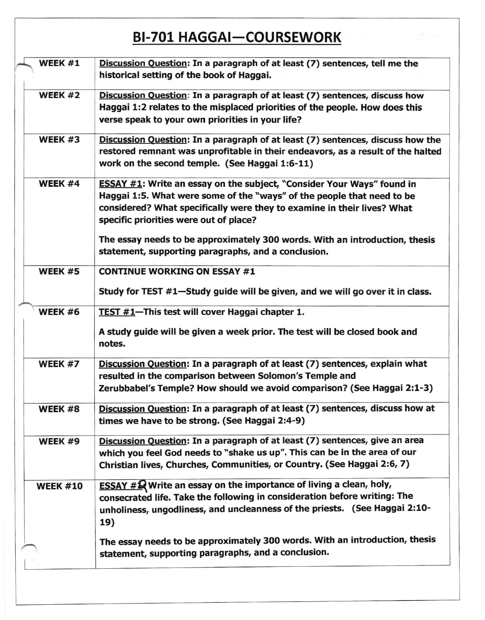## BI-701 HAGGAI-COURSEWORK

| WEEK #1         | Discussion Question: In a paragraph of at least (7) sentences, tell me the<br>historical setting of the book of Haggai.                                                                                                                                                      |
|-----------------|------------------------------------------------------------------------------------------------------------------------------------------------------------------------------------------------------------------------------------------------------------------------------|
| WEEK #2         | Discussion Question: In a paragraph of at least (7) sentences, discuss how<br>Haggai 1:2 relates to the misplaced priorities of the people. How does this<br>verse speak to your own priorities in your life?                                                                |
| WEEK #3         | Discussion Question: In a paragraph of at least (7) sentences, discuss how the<br>restored remnant was unprofitable in their endeavors, as a result of the halted<br>work on the second temple. (See Haggai 1:6-11)                                                          |
| WEEK #4         | <b>ESSAY #1:</b> Write an essay on the subject, "Consider Your Ways" found in<br>Haggai 1:5. What were some of the "ways" of the people that need to be<br>considered? What specifically were they to examine in their lives? What<br>specific priorities were out of place? |
|                 | The essay needs to be approximately 300 words. With an introduction, thesis<br>statement, supporting paragraphs, and a conclusion.                                                                                                                                           |
| WEEK #5         | <b>CONTINUE WORKING ON ESSAY #1</b>                                                                                                                                                                                                                                          |
|                 | Study for TEST #1-Study guide will be given, and we will go over it in class.                                                                                                                                                                                                |
| WEEK #6         | TEST #1-This test will cover Haggai chapter 1.                                                                                                                                                                                                                               |
|                 | A study guide will be given a week prior. The test will be closed book and<br>notes.                                                                                                                                                                                         |
| WEEK #7         | Discussion Question: In a paragraph of at least (7) sentences, explain what<br>resulted in the comparison between Solomon's Temple and<br>Zerubbabel's Temple? How should we avoid comparison? (See Haggai 2:1-3)                                                            |
| WEEK #8         | Discussion Question: In a paragraph of at least (7) sentences, discuss how at<br>times we have to be strong. (See Haggai 2:4-9)                                                                                                                                              |
| WEEK #9         | Discussion Question: In a paragraph of at least (7) sentences, give an area<br>which you feel God needs to "shake us up". This can be in the area of our<br>Christian lives, Churches, Communities, or Country. (See Haggai 2:6, 7)                                          |
| <b>WEEK #10</b> | <b>ESSAY #Q Write an essay on the importance of living a clean, holy,</b><br>consecrated life. Take the following in consideration before writing: The<br>unholiness, ungodliness, and uncleanness of the priests. (See Haggai 2:10-<br>19)                                  |
|                 | The essay needs to be approximately 300 words. With an introduction, thesis<br>statement, supporting paragraphs, and a conclusion.                                                                                                                                           |
|                 |                                                                                                                                                                                                                                                                              |